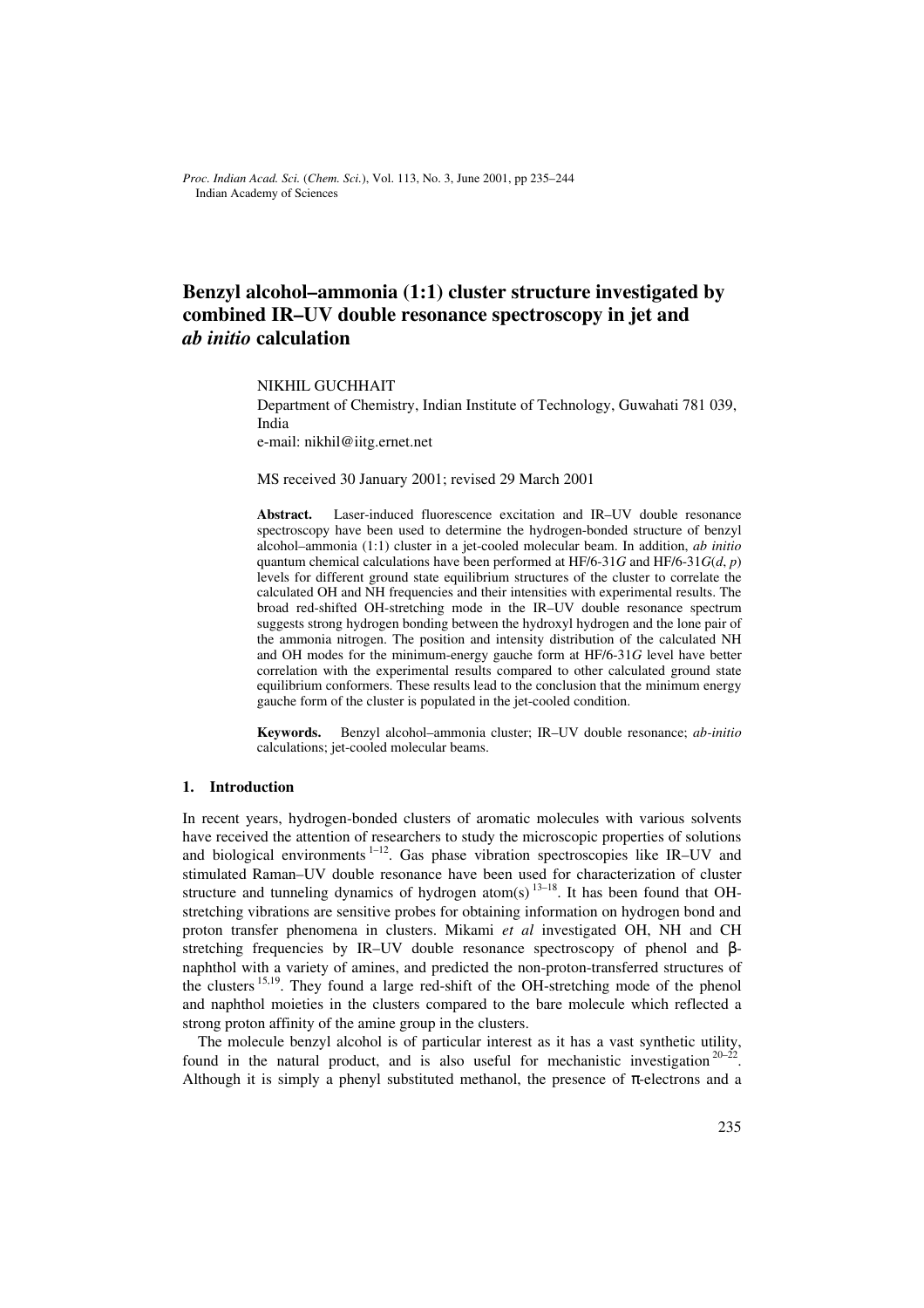*Proc. Indian Acad. Sci.* (*Chem. Sci.*), Vol. 113, No. 3, June 2001, pp 235–244  $©$  Indian Academy of Sciences

# **Benzyl alcohol–ammonia (1:1) cluster structure investigated by combined IR–UV double resonance spectroscopy in jet and** *ab initio* **calculation**

NIKHIL GUCHHAIT

Department of Chemistry, Indian Institute of Technology, Guwahati 781 039, India

e-mail: nikhil@iitg.ernet.net

MS received 30 January 2001; revised 29 March 2001

Abstract. Laser-induced fluorescence excitation and IR–UV double resonance spectroscopy have been used to determine the hydrogen-bonded structure of benzyl alcohol–ammonia (1:1) cluster in a jet-cooled molecular beam. In addition, *ab initio* quantum chemical calculations have been performed at HF/6-31*G* and HF/6-31*G*(*d*, *p*) levels for different ground state equilibrium structures of the cluster to correlate the calculated OH and NH frequencies and their intensities with experimental results. The broad red-shifted OH-stretching mode in the IR–UV double resonance spectrum suggests strong hydrogen bonding between the hydroxyl hydrogen and the lone pair of the ammonia nitrogen. The position and intensity distribution of the calculated NH and OH modes for the minimum-energy gauche form at HF/6-31*G* level have better correlation with the experimental results compared to other calculated ground state equilibrium conformers. These results lead to the conclusion that the minimum energy gauche form of the cluster is populated in the jet-cooled condition.

**Keywords.** Benzyl alcohol–ammonia cluster; IR–UV double resonance; *ab-initio*  calculations; jet-cooled molecular beams.

### **1. Introduction**

In recent years, hydrogen-bonded clusters of aromatic molecules with various solvents have received the attention of researchers to study the microscopic properties of solutions and biological environments  $1-12$ . Gas phase vibration spectroscopies like IR–UV and stimulated Raman–UV double resonance have been used for characterization of cluster structure and tunneling dynamics of hydrogen atom(s)  $13-18$ . It has been found that OHstretching vibrations are sensitive probes for obtaining information on hydrogen bond and proton transfer phenomena in clusters. Mikami *et al* investigated OH, NH and CH stretching frequencies by IR–UV double resonance spectroscopy of phenol and βnaphthol with a variety of amines, and predicted the non-proton-transferred structures of the clusters 15,19. They found a large red-shift of the OH-stretching mode of the phenol and naphthol moieties in the clusters compared to the bare molecule which reflected a strong proton affinity of the amine group in the clusters.

The molecule benzyl alcohol is of particular interest as it has a vast synthetic utility, found in the natural product, and is also useful for mechanistic investigation  $20-22$ . Although it is simply a phenyl substituted methanol, the presence of  $\pi$ -electrons and a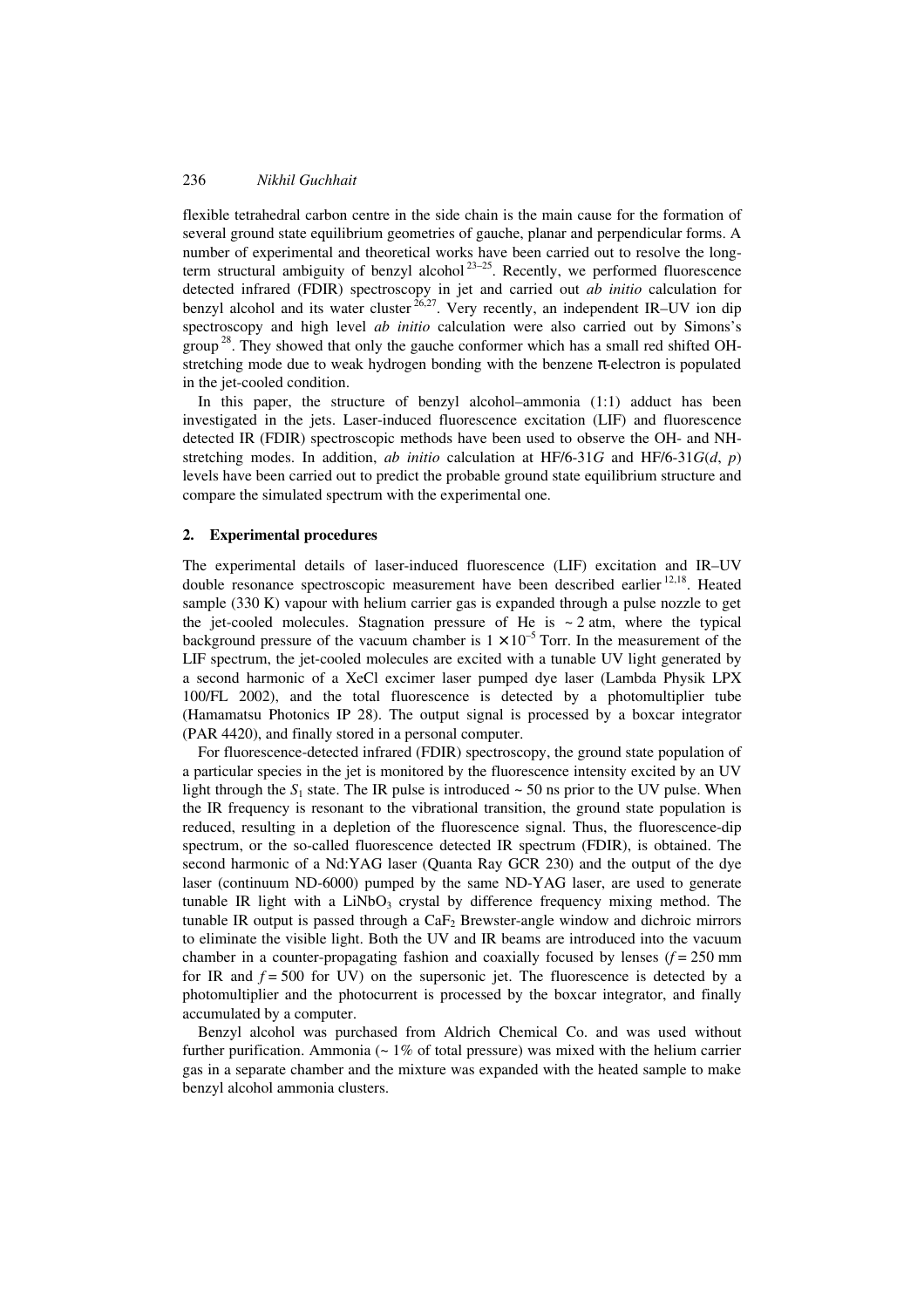flexible tetrahedral carbon centre in the side chain is the main cause for the formation of several ground state equilibrium geometries of gauche, planar and perpendicular forms. A number of experimental and theoretical works have been carried out to resolve the longterm structural ambiguity of benzyl alcohol<sup>23–25</sup>. Recently, we performed fluorescence detected infrared (FDIR) spectroscopy in jet and carried out *ab initio* calculation for benzyl alcohol and its water cluster  $26.27$ . Very recently, an independent IR–UV ion dip spectroscopy and high level *ab initio* calculation were also carried out by Simons's group<sup>28</sup>. They showed that only the gauche conformer which has a small red shifted OHstretching mode due to weak hydrogen bonding with the benzene  $\pi$ -electron is populated in the jet-cooled condition.

In this paper, the structure of benzyl alcohol–ammonia (1:1) adduct has been investigated in the jets. Laser-induced fluorescence excitation (LIF) and fluorescence detected IR (FDIR) spectroscopic methods have been used to observe the OH- and NHstretching modes. In addition, *ab initio* calculation at HF/6-31*G* and HF/6-31*G*(*d*, *p*) levels have been carried out to predict the probable ground state equilibrium structure and compare the simulated spectrum with the experimental one.

#### **2. Experimental procedures**

The experimental details of laser-induced fluorescence (LIF) excitation and IR–UV double resonance spectroscopic measurement have been described earlier <sup>12,18</sup>. Heated sample (330 K) vapour with helium carrier gas is expanded through a pulse nozzle to get the jet-cooled molecules. Stagnation pressure of He is  $\sim$  2 atm, where the typical background pressure of the vacuum chamber is  $1 \times 10^{-5}$  Torr. In the measurement of the LIF spectrum, the jet-cooled molecules are excited with a tunable UV light generated by a second harmonic of a XeCl excimer laser pumped dye laser (Lambda Physik LPX 100/FL 2002), and the total fluorescence is detected by a photomultiplier tube (Hamamatsu Photonics IP 28). The output signal is processed by a boxcar integrator (PAR 4420), and finally stored in a personal computer.

For fluorescence-detected infrared (FDIR) spectroscopy, the ground state population of a particular species in the jet is monitored by the fluorescence intensity excited by an UV light through the  $S_1$  state. The IR pulse is introduced  $\sim$  50 ns prior to the UV pulse. When the IR frequency is resonant to the vibrational transition, the ground state population is reduced, resulting in a depletion of the fluorescence signal. Thus, the fluorescence-dip spectrum, or the so-called fluorescence detected IR spectrum (FDIR), is obtained. The second harmonic of a Nd:YAG laser (Quanta Ray GCR 230) and the output of the dye laser (continuum ND-6000) pumped by the same ND-YAG laser, are used to generate tunable IR light with a LiNbO<sub>3</sub> crystal by difference frequency mixing method. The tunable IR output is passed through a  $CaF<sub>2</sub>$  Brewster-angle window and dichroic mirrors to eliminate the visible light. Both the UV and IR beams are introduced into the vacuum chamber in a counter-propagating fashion and coaxially focused by lenses  $(f = 250 \text{ mm})$ for IR and  $f = 500$  for UV) on the supersonic jet. The fluorescence is detected by a photomultiplier and the photocurrent is processed by the boxcar integrator, and finally accumulated by a computer.

Benzyl alcohol was purchased from Aldrich Chemical Co. and was used without further purification. Ammonia ( $\sim 1\%$  of total pressure) was mixed with the helium carrier gas in a separate chamber and the mixture was expanded with the heated sample to make benzyl alcohol ammonia clusters.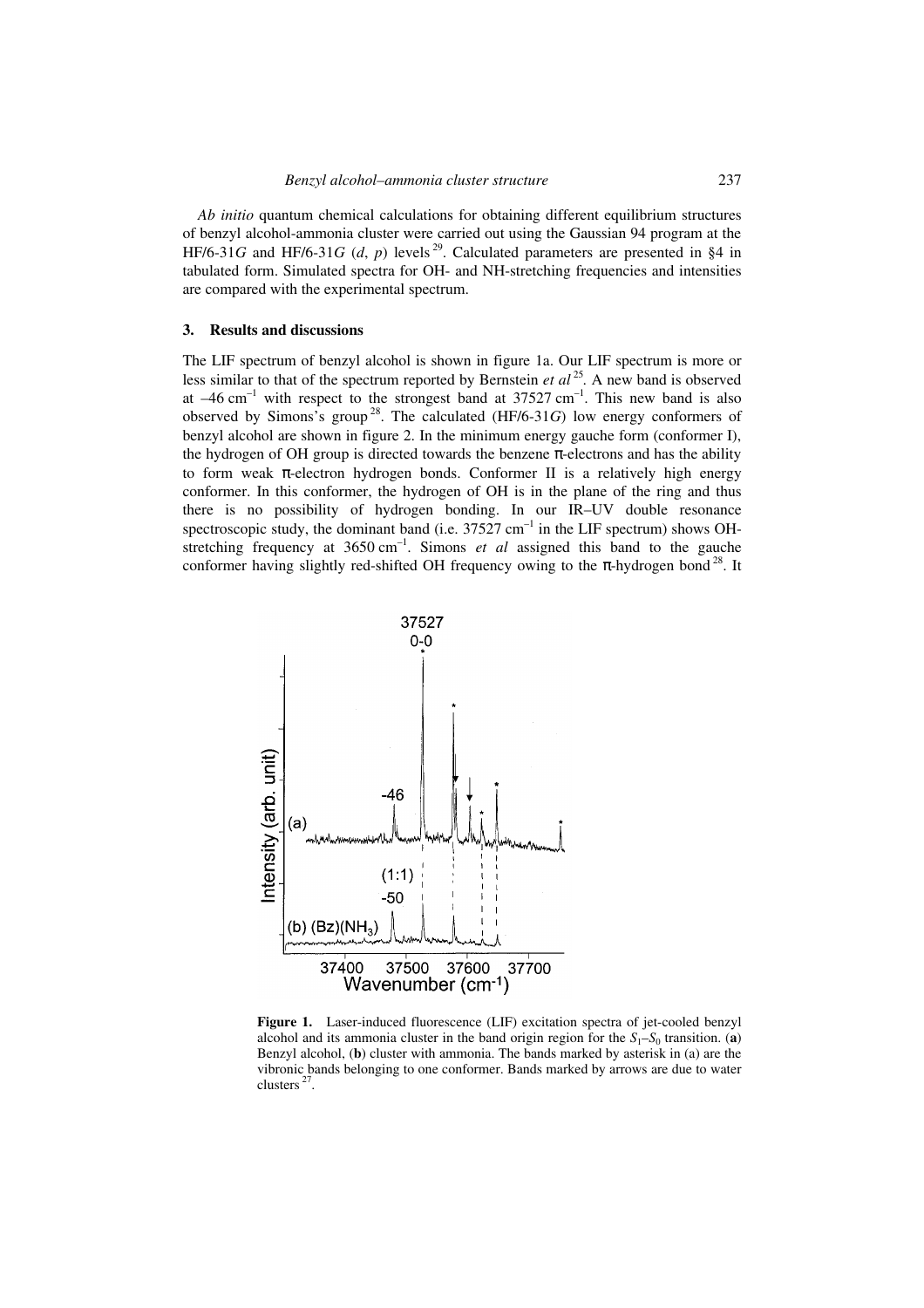*Ab initio* quantum chemical calculations for obtaining different equilibrium structures of benzyl alcohol-ammonia cluster were carried out using the Gaussian 94 program at the HF/6-31*G* and HF/6-31*G* (*d*, *p*) levels<sup>29</sup>. Calculated parameters are presented in §4 in tabulated form. Simulated spectra for OH- and NH-stretching frequencies and intensities are compared with the experimental spectrum.

### **3. Results and discussions**

The LIF spectrum of benzyl alcohol is shown in figure 1a. Our LIF spectrum is more or less similar to that of the spectrum reported by Bernstein *et al*  $^{25}$ . A new band is observed at  $-46$  cm<sup>-1</sup> with respect to the strongest band at 37527 cm<sup>-1</sup>. This new band is also observed by Simons's group<sup>28</sup>. The calculated  $(HF/6-31G)$  low energy conformers of benzyl alcohol are shown in figure 2. In the minimum energy gauche form (conformer I), the hydrogen of OH group is directed towards the benzene π-electrons and has the ability to form weak π-electron hydrogen bonds. Conformer II is a relatively high energy conformer. In this conformer, the hydrogen of OH is in the plane of the ring and thus there is no possibility of hydrogen bonding. In our IR–UV double resonance spectroscopic study, the dominant band (i.e.  $37527 \text{ cm}^{-1}$  in the LIF spectrum) shows OHstretching frequency at  $3650 \text{ cm}^{-1}$ . Simons *et al* assigned this band to the gauche conformer having slightly red-shifted OH frequency owing to the  $\pi$ -hydrogen bond<sup>28</sup>. It



**Figure 1.** Laser-induced fluorescence (LIF) excitation spectra of jet-cooled benzyl alcohol and its ammonia cluster in the band origin region for the  $S_1-S_0$  transition. (**a**) Benzyl alcohol, (**b**) cluster with ammonia. The bands marked by asterisk in (a) are the vibronic bands belonging to one conformer. Bands marked by arrows are due to water clusters<sup>27</sup>.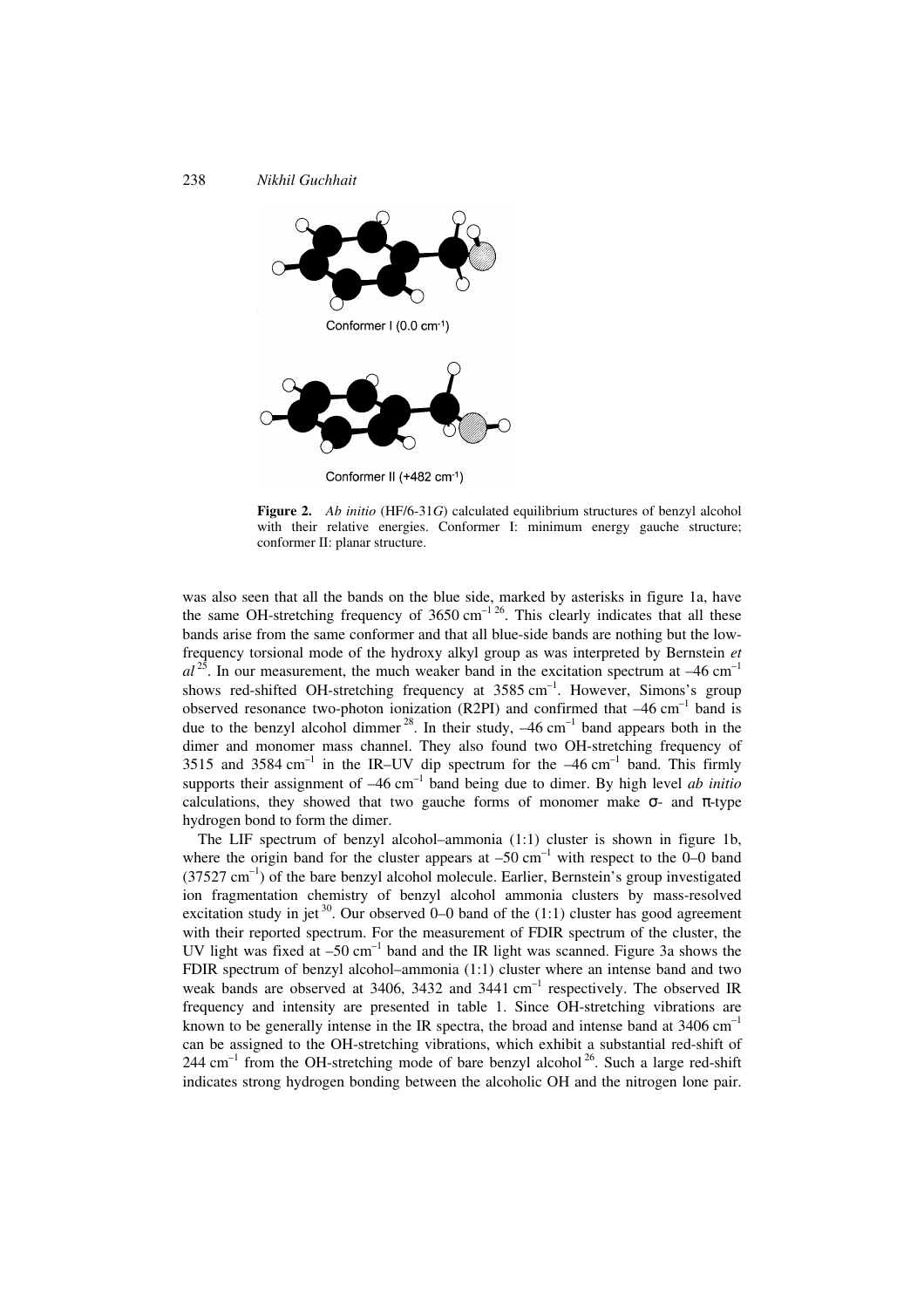



**Figure 2.** *Ab initio* (HF/6-31*G*) calculated equilibrium structures of benzyl alcohol with their relative energies. Conformer I: minimum energy gauche structure; conformer II: planar structure.

was also seen that all the bands on the blue side, marked by asterisks in figure 1a, have the same OH-stretching frequency of  $3650 \text{ cm}^{-1.26}$ . This clearly indicates that all these bands arise from the same conformer and that all blue-side bands are nothing but the lowfrequency torsional mode of the hydroxy alkyl group as was interpreted by Bernstein *et*   $al^{25}$ . In our measurement, the much weaker band in the excitation spectrum at  $-46 \text{ cm}^{-1}$ shows red-shifted OH-stretching frequency at  $3585 \text{ cm}^{-1}$ . However, Simons's group observed resonance two-photon ionization (R2PI) and confirmed that  $-46$  cm<sup>-1</sup> band is due to the benzyl alcohol dimmer<sup>28</sup>. In their study,  $-46 \text{ cm}^{-1}$  band appears both in the dimer and monomer mass channel. They also found two OH-stretching frequency of 3515 and 3584 cm<sup>-1</sup> in the IR–UV dip spectrum for the  $-46$  cm<sup>-1</sup> band. This firmly supports their assignment of  $-46$  cm<sup>-1</sup> band being due to dimer. By high level *ab initio* calculations, they showed that two gauche forms of monomer make  $\sigma$ - and  $\pi$ -type hydrogen bond to form the dimer.

The LIF spectrum of benzyl alcohol–ammonia (1:1) cluster is shown in figure 1b, where the origin band for the cluster appears at  $-50 \text{ cm}^{-1}$  with respect to the 0–0 band  $(37527 \text{ cm}^{-1})$  of the bare benzyl alcohol molecule. Earlier, Bernstein's group investigated ion fragmentation chemistry of benzyl alcohol ammonia clusters by mass-resolved excitation study in jet  $30$ . Our observed 0–0 band of the (1:1) cluster has good agreement with their reported spectrum. For the measurement of FDIR spectrum of the cluster, the UV light was fixed at  $-50 \text{ cm}^{-1}$  band and the IR light was scanned. Figure 3a shows the FDIR spectrum of benzyl alcohol–ammonia (1:1) cluster where an intense band and two weak bands are observed at 3406, 3432 and 3441  $cm^{-1}$  respectively. The observed IR frequency and intensity are presented in table 1. Since OH-stretching vibrations are known to be generally intense in the IR spectra, the broad and intense band at  $3406 \text{ cm}^{-1}$ can be assigned to the OH-stretching vibrations, which exhibit a substantial red-shift of  $244 \text{ cm}^{-1}$  from the OH-stretching mode of bare benzyl alcohol  $^{26}$ . Such a large red-shift indicates strong hydrogen bonding between the alcoholic OH and the nitrogen lone pair.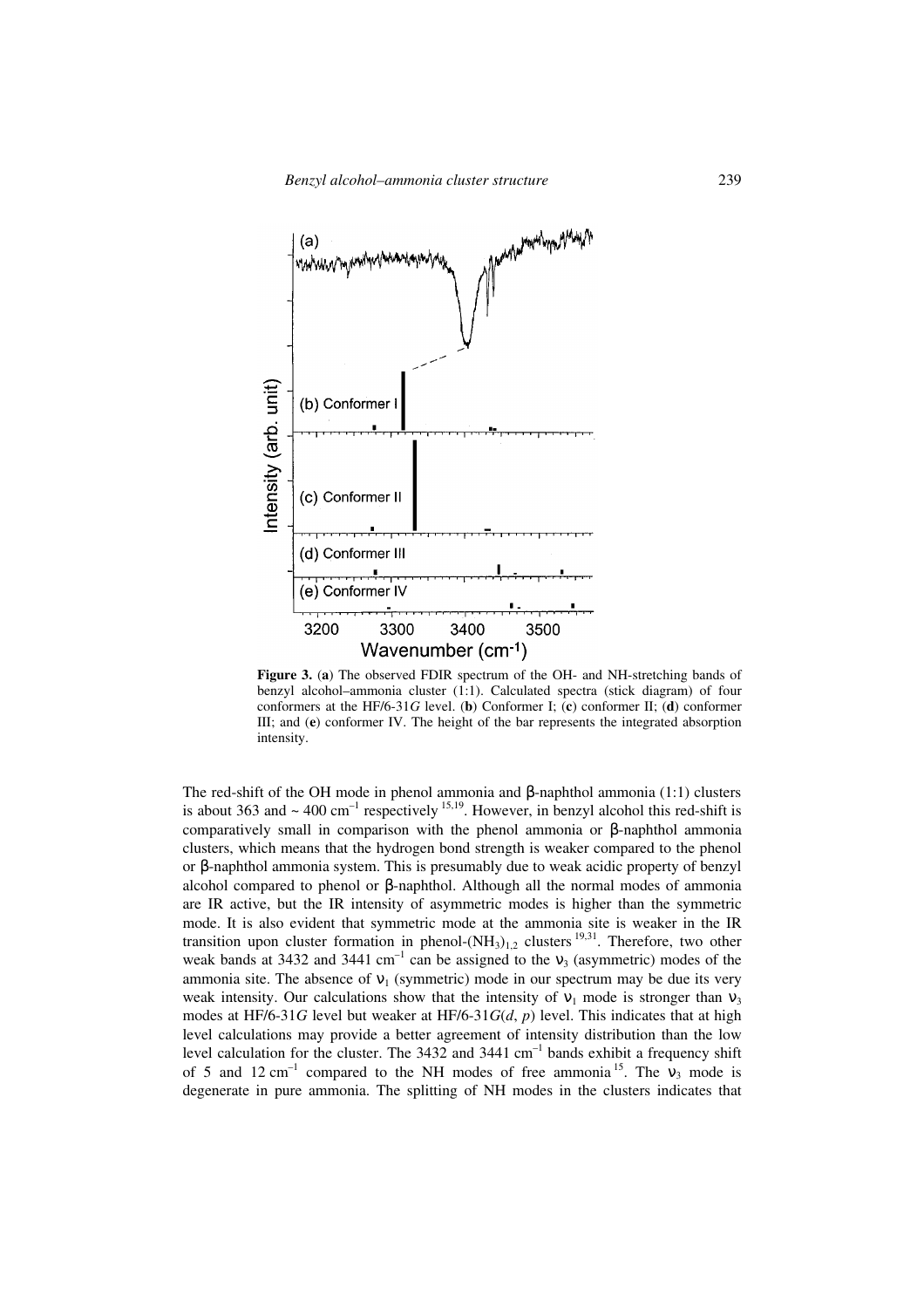

**Figure 3.** (**a**) The observed FDIR spectrum of the OH- and NH-stretching bands of benzyl alcohol–ammonia cluster (1:1). Calculated spectra (stick diagram) of four conformers at the HF/6-31*G* level. (**b**) Conformer I; (**c**) conformer II; (**d**) conformer III; and (**e**) conformer IV. The height of the bar represents the integrated absorption intensity.

The red-shift of the OH mode in phenol ammonia and β-naphthol ammonia (1:1) clusters is about 363 and  $\sim 400 \text{ cm}^{-1}$  respectively <sup>15,19</sup>. However, in benzyl alcohol this red-shift is comparatively small in comparison with the phenol ammonia or β-naphthol ammonia clusters, which means that the hydrogen bond strength is weaker compared to the phenol or β-naphthol ammonia system. This is presumably due to weak acidic property of benzyl alcohol compared to phenol or β-naphthol. Although all the normal modes of ammonia are IR active, but the IR intensity of asymmetric modes is higher than the symmetric mode. It is also evident that symmetric mode at the ammonia site is weaker in the IR transition upon cluster formation in phenol- $(NH_3)_{1,2}$  clusters  $^{19,31}$ . Therefore, two other weak bands at 3432 and 3441 cm<sup>-1</sup> can be assigned to the  $v_3$  (asymmetric) modes of the ammonia site. The absence of  $v_1$  (symmetric) mode in our spectrum may be due its very weak intensity. Our calculations show that the intensity of  $v_1$  mode is stronger than  $v_3$ modes at HF/6-31*G* level but weaker at HF/6-31*G(d, p)* level. This indicates that at high level calculations may provide a better agreement of intensity distribution than the low level calculation for the cluster. The  $3432$  and  $3441$  cm<sup>-1</sup> bands exhibit a frequency shift of 5 and 12 cm<sup>-1</sup> compared to the NH modes of free ammonia<sup>15</sup>. The  $v_3$  mode is degenerate in pure ammonia. The splitting of NH modes in the clusters indicates that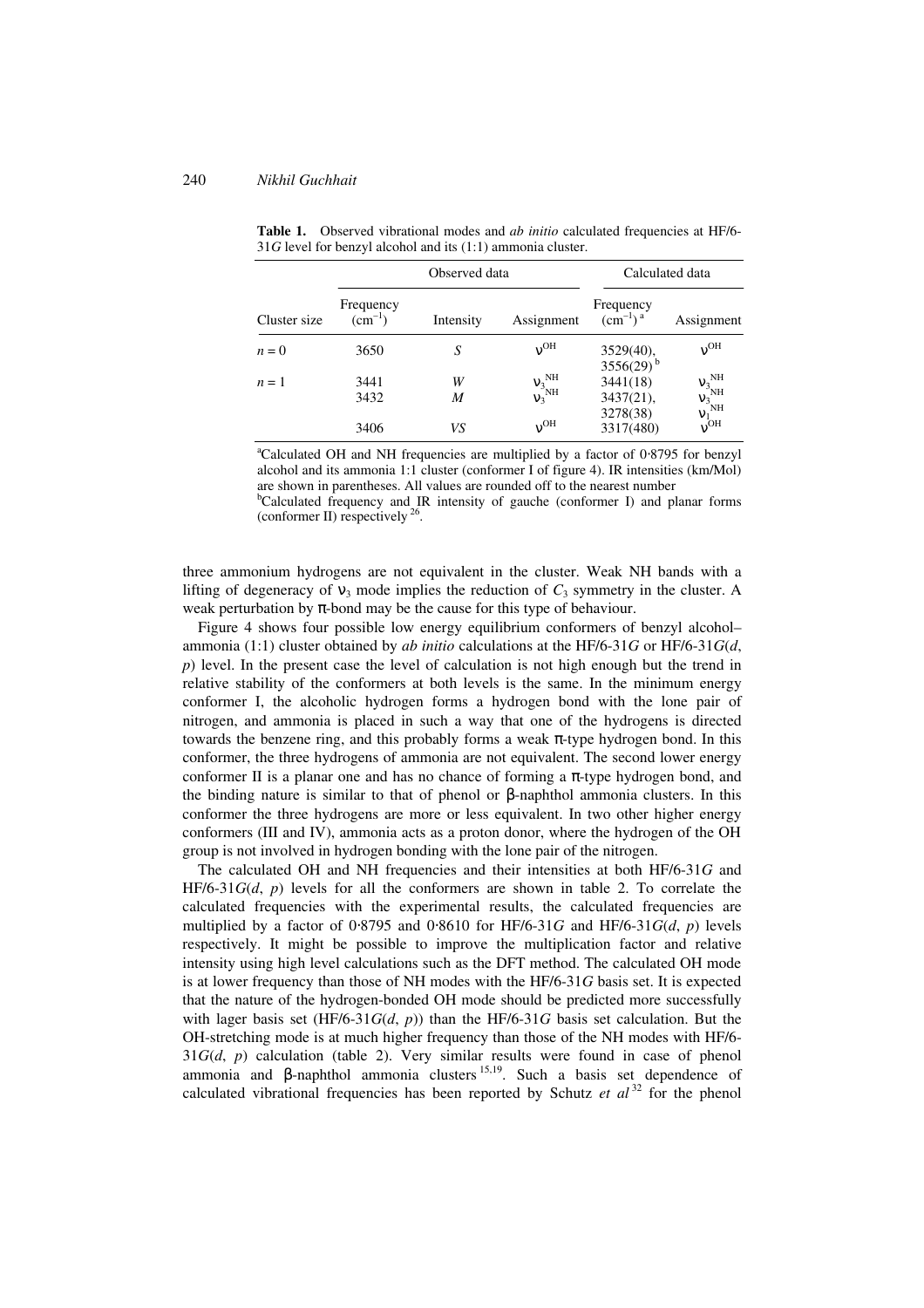|              | Observed data            |           |                                                  | Calculated data                                       |                                                                         |
|--------------|--------------------------|-----------|--------------------------------------------------|-------------------------------------------------------|-------------------------------------------------------------------------|
| Cluster size | Frequency<br>$(cm^{-1})$ | Intensity | Assignment                                       | Frequency<br>$\left(\text{cm}^{-1}\right)^{\text{a}}$ | Assignment                                                              |
| $n=0$        | 3650                     | S         | $v^{OH}$                                         | $3529(40)$ ,<br>$3556(29)^b$                          | $v^{OH}$                                                                |
| $n=1$        | 3441<br>3432             | W<br>M    | $v_3^{\text{NH}}$<br>$v_3^{\circ}{}^{\text{NH}}$ | 3441(18)<br>$3437(21)$ ,                              | ${\rm v_3}_{\rm NH}^{\rm NH}$ ${\rm v_3}^{\rm NH}$<br>$v_1^{\text{NH}}$ |
|              | 3406                     | VS        | $v^{OH}$                                         | 3278(38)<br>3317(480)                                 | $v^{OH}$                                                                |

Table 1. Observed vibrational modes and *ab initio* calculated frequencies at HF/6-31*G* level for benzyl alcohol and its (1:1) ammonia cluster.

<sup>a</sup>Calculated OH and NH frequencies are multiplied by a factor of 0⋅8795 for benzyl alcohol and its ammonia 1:1 cluster (conformer I of figure 4). IR intensities (km/Mol) are shown in parentheses. All values are rounded off to the nearest number

 $b$ Calculated frequency and IR intensity of gauche (conformer I) and planar forms (conformer II) respectively <sup>26</sup>.

three ammonium hydrogens are not equivalent in the cluster. Weak NH bands with a lifting of degeneracy of  $v_3$  mode implies the reduction of  $C_3$  symmetry in the cluster. A weak perturbation by  $\pi$ -bond may be the cause for this type of behaviour.

Figure 4 shows four possible low energy equilibrium conformers of benzyl alcohol– ammonia (1:1) cluster obtained by *ab initio* calculations at the HF/6-31*G* or HF/6-31*G*(*d*, *p*) level. In the present case the level of calculation is not high enough but the trend in relative stability of the conformers at both levels is the same. In the minimum energy conformer I, the alcoholic hydrogen forms a hydrogen bond with the lone pair of nitrogen, and ammonia is placed in such a way that one of the hydrogens is directed towards the benzene ring, and this probably forms a weak  $\pi$ -type hydrogen bond. In this conformer, the three hydrogens of ammonia are not equivalent. The second lower energy conformer II is a planar one and has no chance of forming a  $\pi$ -type hydrogen bond, and the binding nature is similar to that of phenol or  $\beta$ -naphthol ammonia clusters. In this conformer the three hydrogens are more or less equivalent. In two other higher energy conformers (III and IV), ammonia acts as a proton donor, where the hydrogen of the OH group is not involved in hydrogen bonding with the lone pair of the nitrogen.

The calculated OH and NH frequencies and their intensities at both HF/6-31*G* and HF/6-31*G*(*d*, *p*) levels for all the conformers are shown in table 2. To correlate the calculated frequencies with the experimental results, the calculated frequencies are multiplied by a factor of 0⋅8795 and 0⋅8610 for HF/6-31*G* and HF/6-31*G*(*d*, *p*) levels respectively. It might be possible to improve the multiplication factor and relative intensity using high level calculations such as the DFT method. The calculated OH mode is at lower frequency than those of NH modes with the HF/6-31*G* basis set. It is expected that the nature of the hydrogen-bonded OH mode should be predicted more successfully with lager basis set  $(HF/6-31G(d, p))$  than the HF/6-31*G* basis set calculation. But the OH-stretching mode is at much higher frequency than those of the NH modes with HF/6- 31*G*(*d*, *p*) calculation (table 2). Very similar results were found in case of phenol ammonia and β-naphthol ammonia clusters 15,19. Such a basis set dependence of calculated vibrational frequencies has been reported by Schutz *et al* <sup>32</sup> for the phenol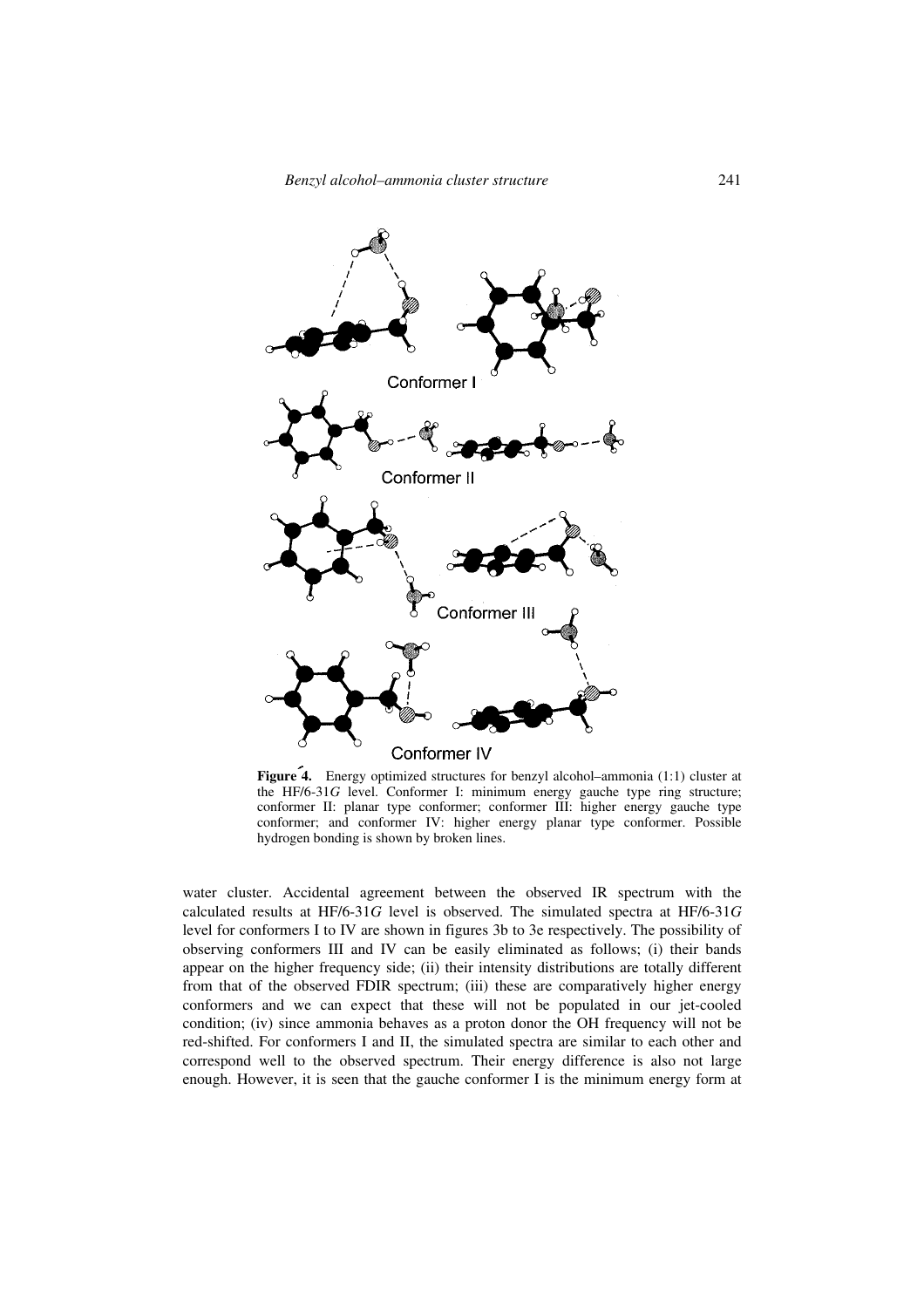

**Figure 4.** Energy optimized structures for benzyl alcohol–ammonia (1:1) cluster at the HF/6-31*G* level. Conformer I: minimum energy gauche type ring structure; conformer II: planar type conformer; conformer III: higher energy gauche type conformer; and conformer IV: higher energy planar type conformer. Possible hydrogen bonding is shown by broken lines.

water cluster. Accidental agreement between the observed IR spectrum with the calculated results at HF/6-31*G* level is observed. The simulated spectra at HF/6-31*G* level for conformers I to IV are shown in figures 3b to 3e respectively. The possibility of observing conformers III and IV can be easily eliminated as follows; (i) their bands appear on the higher frequency side; (ii) their intensity distributions are totally different from that of the observed FDIR spectrum; (iii) these are comparatively higher energy conformers and we can expect that these will not be populated in our jet-cooled condition; (iv) since ammonia behaves as a proton donor the OH frequency will not be red-shifted. For conformers I and II, the simulated spectra are similar to each other and correspond well to the observed spectrum. Their energy difference is also not large enough. However, it is seen that the gauche conformer I is the minimum energy form at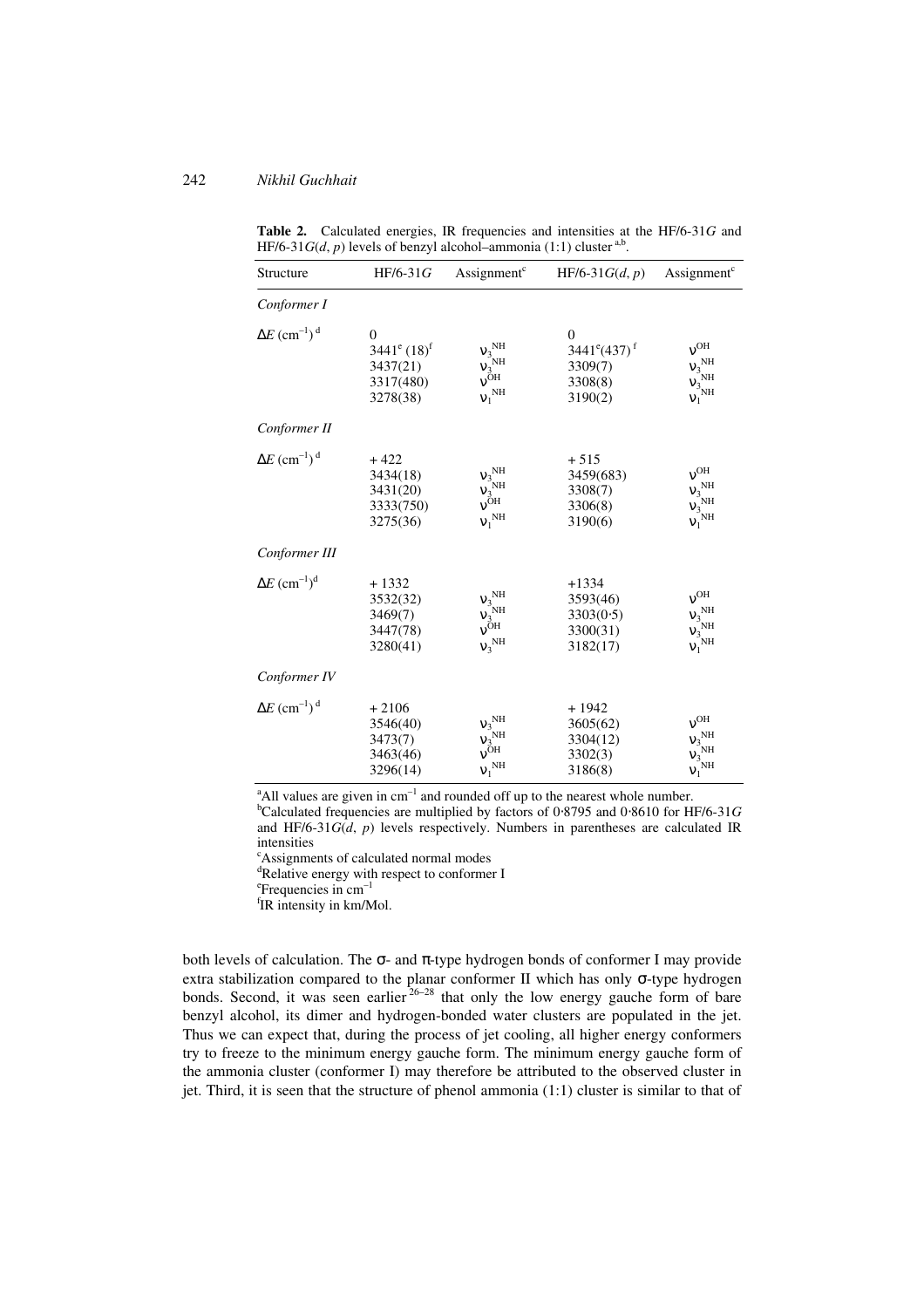| Structure                                   | $HF/6-31G$                                                           | Assignment <sup>c</sup>                                                                                                                   | $HF/6-31G(d, p)$                                                         | Assignment <sup>c</sup>                                                                         |
|---------------------------------------------|----------------------------------------------------------------------|-------------------------------------------------------------------------------------------------------------------------------------------|--------------------------------------------------------------------------|-------------------------------------------------------------------------------------------------|
| Conformer I                                 |                                                                      |                                                                                                                                           |                                                                          |                                                                                                 |
| $\Delta E$ (cm <sup>-1</sup> ) <sup>d</sup> | $\mathbf{0}$<br>$3441^e (18)^f$<br>3437(21)<br>3317(480)<br>3278(38) | ${\rm\bf V_3}^{\rm NH}$<br>$v_3^{\text{NH}}$<br>$v_{\text{OH}}$<br>$v_1^{\text{NH}}$                                                      | $\Omega$<br>$3441^{\circ}(437)^{\circ}$<br>3309(7)<br>3308(8)<br>3190(2) | $v^{OH}$<br>${\rm v_3}^{\rm NH}$<br>$\mathsf{V}_3^\mathrm{NH}$<br>$\mathbf{v_1}^{\rm NH}$       |
| Conformer II                                |                                                                      |                                                                                                                                           |                                                                          |                                                                                                 |
| $\Delta E$ (cm <sup>-1</sup> ) <sup>d</sup> | $+422$<br>3434(18)<br>3431(20)<br>3333(750)<br>3275(36)              | $\begin{array}{l} \mathsf{V}_{3}^{\text{NH}} \\ \mathsf{V}_{3}^{\text{NH}} \\ \mathsf{V}^{\text{OH}} \\ \end{array}$<br>$v_1^{\text{NH}}$ | $+515$<br>3459(683)<br>3308(7)<br>3306(8)<br>3190(6)                     | $v^{OH}$<br>$v_3^{\text{NH}}$<br>$\tilde{\nu_3^{\text{NH}}}$<br>${\rm v_1}^{\rm NH}$            |
| Conformer III                               |                                                                      |                                                                                                                                           |                                                                          |                                                                                                 |
| $\Delta E~(\text{cm}^{-1})^{\text{d}}$      | $+1332$<br>3532(32)<br>3469(7)<br>3447(78)<br>3280(41)               | ${\mathsf v}_3^{\,\,\rm NH}$<br>$v_3^{\text{NH}}$<br>$v_{\text{OH}}^{\text{OH}}$<br>$v_3^{\text{NH}}$                                     | $+1334$<br>3593(46)<br>3303(0.5)<br>3300(31)<br>3182(17)                 | $v^{OH}$<br>$V_3$ <sub>NH</sub><br>$V_3$ <sub>NH</sub><br>${\rm\bf v}_1^{\,\,\rm NH}$           |
| Conformer IV                                |                                                                      |                                                                                                                                           |                                                                          |                                                                                                 |
| $\Delta E$ (cm <sup>-1</sup> ) <sup>d</sup> | $+2106$<br>3546(40)<br>3473(7)<br>3463(46)<br>3296(14)               | ${\rm v_3}^{\rm NH}$<br>$v_3^{\text{NH}}$<br>$v_{\text{OH}}^{\text{OH}}$<br>$v_1^{\text{NH}}$                                             | $+1942$<br>3605(62)<br>3304(12)<br>3302(3)<br>3186(8)                    | $v^{OH}$<br>$V_3$ <sub>NH</sub><br>$V_3$ <sub>NH</sub><br>$\mathbf{v}_1^{^{\top}\!\mathrm{NH}}$ |

**Table 2.** Calculated energies, IR frequencies and intensities at the HF/6-31*G* and HF/6-31*G*(*d*, *p*) levels of benzyl alcohol-ammonia (1:1) cluster <sup>a,b</sup>.

 $^{\circ}$ All values are given in cm<sup>-1</sup> and rounded off up to the nearest whole number. <sup>b</sup>Calculated frequencies are multiplied by factors of 0⋅8795 and 0⋅8610 for HF/6-31*G* and HF/6-31 $G(d, p)$  levels respectively. Numbers in parentheses are calculated IR

intensities

<sup>c</sup>Assignments of calculated normal modes <sup>d</sup>Relative energy with respect to conformer I

e Frequencies in cm–1 <sup>f</sup>IR intensity in km/Mol.

both levels of calculation. The  $\sigma$ - and  $\pi$ -type hydrogen bonds of conformer I may provide extra stabilization compared to the planar conformer II which has only σ-type hydrogen bonds. Second, it was seen earlier  $26-28$  that only the low energy gauche form of bare benzyl alcohol, its dimer and hydrogen-bonded water clusters are populated in the jet. Thus we can expect that, during the process of jet cooling, all higher energy conformers try to freeze to the minimum energy gauche form. The minimum energy gauche form of the ammonia cluster (conformer I) may therefore be attributed to the observed cluster in jet. Third, it is seen that the structure of phenol ammonia (1:1) cluster is similar to that of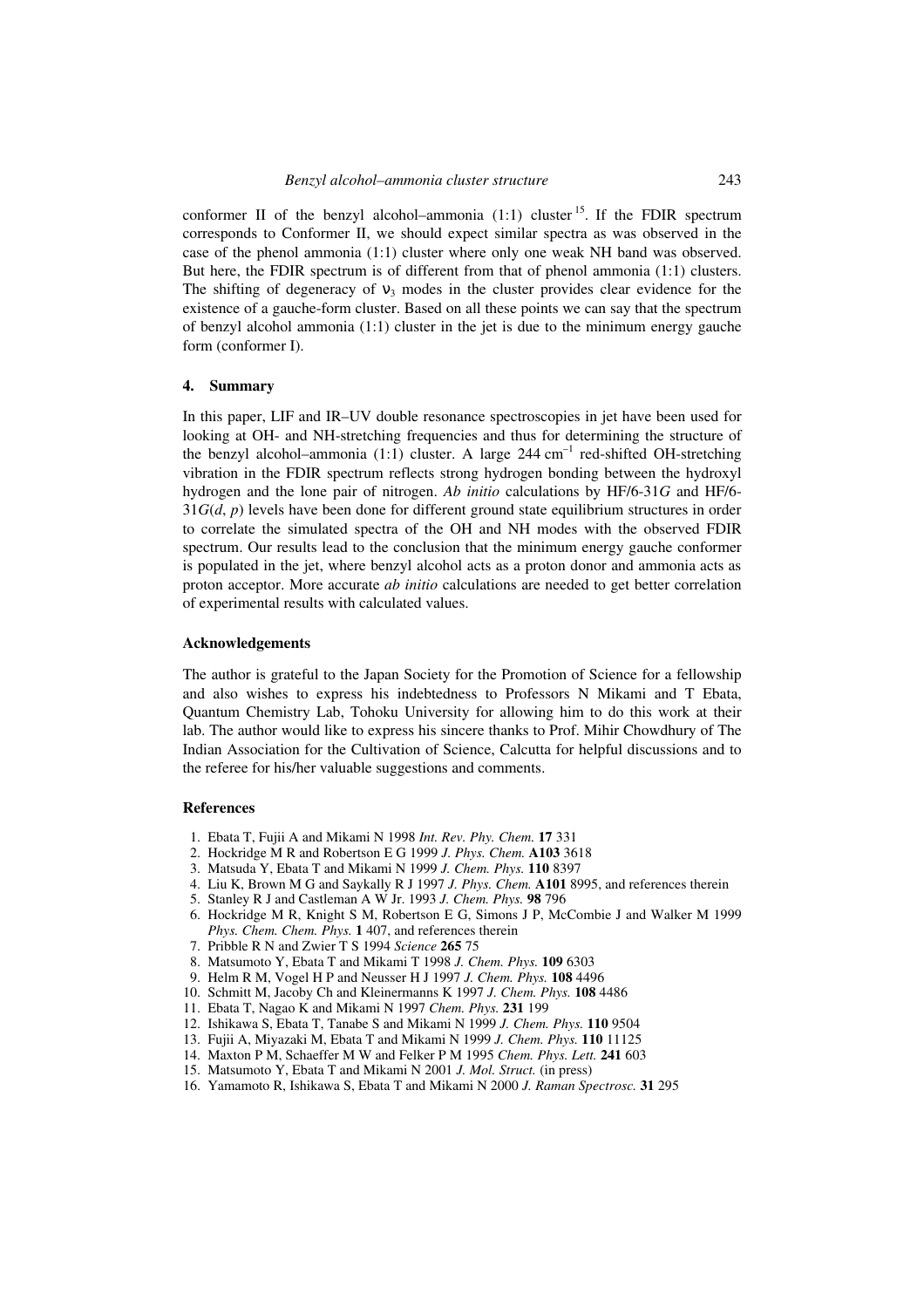conformer II of the benzyl alcohol–ammonia  $(1:1)$  cluster  $1:5$ . If the FDIR spectrum corresponds to Conformer II, we should expect similar spectra as was observed in the case of the phenol ammonia (1:1) cluster where only one weak NH band was observed. But here, the FDIR spectrum is of different from that of phenol ammonia (1:1) clusters. The shifting of degeneracy of  $v_3$  modes in the cluster provides clear evidence for the existence of a gauche-form cluster. Based on all these points we can say that the spectrum of benzyl alcohol ammonia (1:1) cluster in the jet is due to the minimum energy gauche form (conformer I).

#### **4. Summary**

In this paper, LIF and IR–UV double resonance spectroscopies in jet have been used for looking at OH- and NH-stretching frequencies and thus for determining the structure of the benzyl alcohol–ammonia (1:1) cluster. A large 244 cm<sup>-1</sup> red-shifted OH-stretching vibration in the FDIR spectrum reflects strong hydrogen bonding between the hydroxyl hydrogen and the lone pair of nitrogen. *Ab initio* calculations by HF/6-31*G* and HF/6- 31*G*(*d*, *p*) levels have been done for different ground state equilibrium structures in order to correlate the simulated spectra of the OH and NH modes with the observed FDIR spectrum. Our results lead to the conclusion that the minimum energy gauche conformer is populated in the jet, where benzyl alcohol acts as a proton donor and ammonia acts as proton acceptor. More accurate *ab initio* calculations are needed to get better correlation of experimental results with calculated values.

### **Acknowledgements**

The author is grateful to the Japan Society for the Promotion of Science for a fellowship and also wishes to express his indebtedness to Professors N Mikami and T Ebata, Quantum Chemistry Lab, Tohoku University for allowing him to do this work at their lab. The author would like to express his sincere thanks to Prof. Mihir Chowdhury of The Indian Association for the Cultivation of Science, Calcutta for helpful discussions and to the referee for his/her valuable suggestions and comments.

### **References**

- 1. Ebata T, Fujii A and Mikami N 1998 *Int. Rev. Phy. Chem.* **17** 331
- 2. Hockridge M R and Robertson E G 1999 *J. Phys. Chem.* **A103** 3618
- 3. Matsuda Y, Ebata T and Mikami N 1999 *J. Chem. Phys.* **110** 8397
- 4. Liu K, Brown M G and Saykally R J 1997 *J. Phys. Chem.* **A101** 8995, and references therein
- 5. Stanley R J and Castleman A W Jr. 1993 *J. Chem. Phys.* **98** 796
- 6. Hockridge M R, Knight S M, Robertson E G, Simons J P, McCombie J and Walker M 1999 *Phys. Chem. Chem. Phys.* **1** 407, and references therein
- 7. Pribble R N and Zwier T S 1994 *Science* **265** 75
- 8. Matsumoto Y, Ebata T and Mikami T 1998 *J. Chem. Phys.* **109** 6303
- 9. Helm R M, Vogel H P and Neusser H J 1997 *J. Chem. Phys.* **108** 4496
- 10. Schmitt M, Jacoby Ch and Kleinermanns K 1997 *J. Chem. Phys.* **108** 4486
- 11. Ebata T, Nagao K and Mikami N 1997 *Chem. Phys.* **231** 199
- 12. Ishikawa S, Ebata T, Tanabe S and Mikami N 1999 *J. Chem. Phys.* **110** 9504
- 13. Fujii A, Miyazaki M, Ebata T and Mikami N 1999 *J. Chem. Phys.* **110** 11125
- 14. Maxton P M, Schaeffer M W and Felker P M 1995 *Chem. Phys. Lett.* **241** 603
- 15. Matsumoto Y, Ebata T and Mikami N 2001 *J. Mol. Struct.* (in press)
- 16. Yamamoto R, Ishikawa S, Ebata T and Mikami N 2000 *J. Raman Spectrosc.* **31** 295